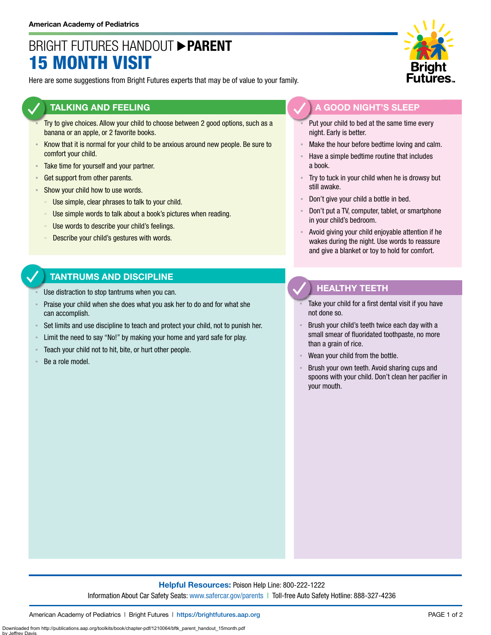## BRIGHT FUTURES HANDOUT **PARENT** 15 MONTH VISIT

Here are some suggestions from Bright Futures experts that may be of value to your family.

#### **TALKING AND FEELING**

- Try to give choices. Allow your child to choose between 2 good options, such as a banana or an apple, or 2 favorite books.
- **EXALCO INCO THE INCO THE INCO THE SET IS NOTEN INCO THE INCO THE INCO THE SUITE TO SET IS SUITE TO SET IS SUITE TO SUITE 10** comfort your child.
- **EXECUTE:** Take time for yourself and your partner.
- **Get support from other parents.**
- **EXECUTE:** Show your child how to use words.
	- Use simple, clear phrases to talk to your child.
	- Use simple words to talk about a book's pictures when reading.
	- Use words to describe your child's feelings.
	- Describe your child's gestures with words.

## **TANTRUMS AND DISCIPLINE**

- Use distraction to stop tantrums when you can.
- Praise your child when she does what you ask her to do and for what she can accomplish.
- Set limits and use discipline to teach and protect your child, not to punish her.
- Limit the need to say "No!" by making your home and yard safe for play.
- Teach your child not to hit, bite, or hurt other people.
- Be a role model.

by Jeffrey Davis



### **A GOOD NIGHT'S SLEEP**

- Put your child to bed at the same time every night. Early is better.
- Make the hour before bedtime loving and calm.
- Have a simple bedtime routine that includes a book.
- Try to tuck in your child when he is drowsy but still awake.
- Don't give your child a bottle in bed.
- Don't put a TV, computer, tablet, or smartphone in your child's bedroom.
- Avoid giving your child enjoyable attention if he wakes during the night. Use words to reassure and give a blanket or toy to hold for comfort.

## **HEALTHY TEETH**

- Take your child for a first dental visit if you have not done so.
- Brush your child's teeth twice each day with a small smear of fluoridated toothpaste, no more than a grain of rice.
- Wean your child from the bottle.
- Brush your own teeth. Avoid sharing cups and spoons with your child. Don't clean her pacifier in your mouth.

#### **Helpful Resources:** Poison Help Line: 800-222-1222 Information About Car Safety Seats: [www.safercar.gov/parents](https://www.nhtsa.gov/parents-and-caregivers) | Toll-free Auto Safety Hotline: 888-327-4236

Downloaded from http://publications.aap.org/toolkits/book/chapter-pdf/1210064/bftk\_parent\_handout\_15month.pdf